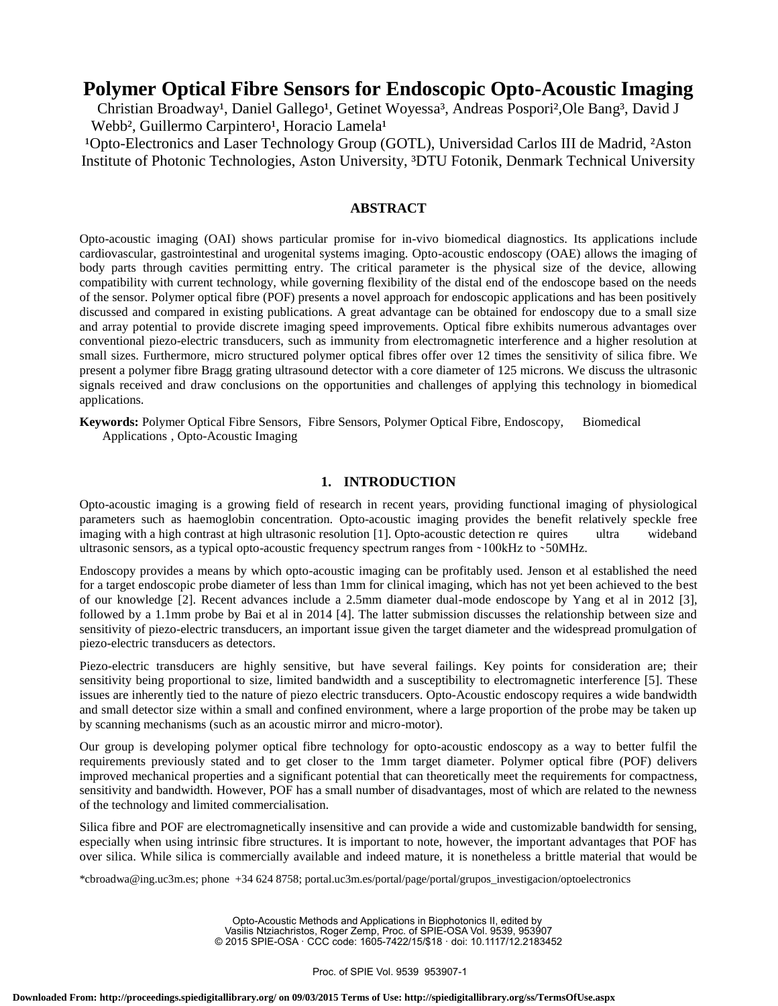# **Polymer Optical Fibre Sensors for Endoscopic Opto-Acoustic Imaging**

Christian Broadway<sup>1</sup>, Daniel Gallego<sup>1</sup>, Getinet Woyessa<sup>3</sup>, Andreas Pospori<sup>2</sup>, Ole Bang<sup>3</sup>, David J Webb<sup>2</sup>, Guillermo Carpintero<sup>1</sup>, Horacio Lamela<sup>1</sup>

<sup>1</sup>Opto-Electronics and Laser Technology Group (GOTL), Universidad Carlos III de Madrid, <sup>2</sup>Aston Institute of Photonic Technologies, Aston University, ³DTU Fotonik, Denmark Technical University

## **ABSTRACT**

Opto-acoustic imaging (OAI) shows particular promise for in-vivo biomedical diagnostics. Its applications include cardiovascular, gastrointestinal and urogenital systems imaging. Opto-acoustic endoscopy (OAE) allows the imaging of body parts through cavities permitting entry. The critical parameter is the physical size of the device, allowing compatibility with current technology, while governing flexibility of the distal end of the endoscope based on the needs of the sensor. Polymer optical fibre (POF) presents a novel approach for endoscopic applications and has been positively discussed and compared in existing publications. A great advantage can be obtained for endoscopy due to a small size and array potential to provide discrete imaging speed improvements. Optical fibre exhibits numerous advantages over conventional piezo-electric transducers, such as immunity from electromagnetic interference and a higher resolution at small sizes. Furthermore, micro structured polymer optical fibres offer over 12 times the sensitivity of silica fibre. We present a polymer fibre Bragg grating ultrasound detector with a core diameter of 125 microns. We discuss the ultrasonic signals received and draw conclusions on the opportunities and challenges of applying this technology in biomedical applications.

**Keywords:** Polymer Optical Fibre Sensors, Fibre Sensors, Polymer Optical Fibre, Endoscopy, Biomedical Applications , Opto-Acoustic Imaging

# **1. INTRODUCTION**

Opto-acoustic imaging is a growing field of research in recent years, providing functional imaging of physiological parameters such as haemoglobin concentration. Opto-acoustic imaging provides the benefit relatively speckle free imaging with a high contrast at high ultrasonic resolution [1]. Opto-acoustic detection re quires ultra wideband ultrasonic sensors, as a typical opto-acoustic frequency spectrum ranges from ~100kHz to ~50MHz.

Endoscopy provides a means by which opto-acoustic imaging can be profitably used. Jenson et al established the need for a target endoscopic probe diameter of less than 1mm for clinical imaging, which has not yet been achieved to the best of our knowledge [2]. Recent advances include a 2.5mm diameter dual-mode endoscope by Yang et al in 2012 [3], followed by a 1.1mm probe by Bai et al in 2014 [4]. The latter submission discusses the relationship between size and sensitivity of piezo-electric transducers, an important issue given the target diameter and the widespread promulgation of piezo-electric transducers as detectors.

Piezo-electric transducers are highly sensitive, but have several failings. Key points for consideration are; their sensitivity being proportional to size, limited bandwidth and a susceptibility to electromagnetic interference [5]. These issues are inherently tied to the nature of piezo electric transducers. Opto-Acoustic endoscopy requires a wide bandwidth and small detector size within a small and confined environment, where a large proportion of the probe may be taken up by scanning mechanisms (such as an acoustic mirror and micro-motor).

Our group is developing polymer optical fibre technology for opto-acoustic endoscopy as a way to better fulfil the requirements previously stated and to get closer to the 1mm target diameter. Polymer optical fibre (POF) delivers improved mechanical properties and a significant potential that can theoretically meet the requirements for compactness, sensitivity and bandwidth. However, POF has a small number of disadvantages, most of which are related to the newness of the technology and limited commercialisation.

Silica fibre and POF are electromagnetically insensitive and can provide a wide and customizable bandwidth for sensing, especially when using intrinsic fibre structures. It is important to note, however, the important advantages that POF has over silica. While silica is commercially available and indeed mature, it is nonetheless a brittle material that would be

\*cbroadwa@ing.uc3m.es; phone +34 624 8758; portal.uc3m.es/portal/page/portal/grupos\_investigacion/optoelectronics

Opto-Acoustic Methods and Applications in Biophotonics II, edited by Vasilis Ntziachristos, Roger Zemp, Proc. of SPIE-OSA Vol. 9539, 953907 © 2015 SPIE-OSA · CCC code: 1605-7422/15/\$18 · doi: 10.1117/12.2183452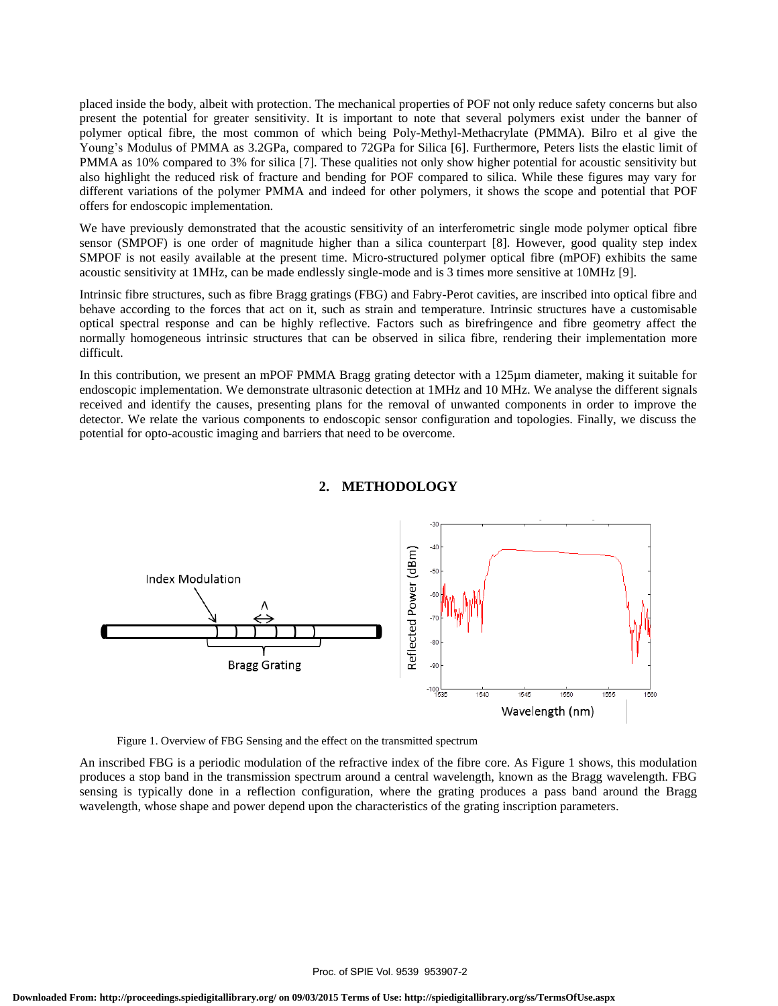placed inside the body, albeit with protection. The mechanical properties of POF not only reduce safety concerns but also present the potential for greater sensitivity. It is important to note that several polymers exist under the banner of polymer optical fibre, the most common of which being Poly-Methyl-Methacrylate (PMMA). Bilro et al give the Young's Modulus of PMMA as 3.2GPa, compared to 72GPa for Silica [6]. Furthermore, Peters lists the elastic limit of PMMA as 10% compared to 3% for silica [7]. These qualities not only show higher potential for acoustic sensitivity but also highlight the reduced risk of fracture and bending for POF compared to silica. While these figures may vary for different variations of the polymer PMMA and indeed for other polymers, it shows the scope and potential that POF offers for endoscopic implementation.

We have previously demonstrated that the acoustic sensitivity of an interferometric single mode polymer optical fibre sensor (SMPOF) is one order of magnitude higher than a silica counterpart [8]. However, good quality step index SMPOF is not easily available at the present time. Micro-structured polymer optical fibre (mPOF) exhibits the same acoustic sensitivity at 1MHz, can be made endlessly single-mode and is 3 times more sensitive at 10MHz [9].

Intrinsic fibre structures, such as fibre Bragg gratings (FBG) and Fabry-Perot cavities, are inscribed into optical fibre and behave according to the forces that act on it, such as strain and temperature. Intrinsic structures have a customisable optical spectral response and can be highly reflective. Factors such as birefringence and fibre geometry affect the normally homogeneous intrinsic structures that can be observed in silica fibre, rendering their implementation more difficult.

In this contribution, we present an mPOF PMMA Bragg grating detector with a 125µm diameter, making it suitable for endoscopic implementation. We demonstrate ultrasonic detection at 1MHz and 10 MHz. We analyse the different signals received and identify the causes, presenting plans for the removal of unwanted components in order to improve the detector. We relate the various components to endoscopic sensor configuration and topologies. Finally, we discuss the potential for opto-acoustic imaging and barriers that need to be overcome.



#### **2. METHODOLOGY**

Figure 1. Overview of FBG Sensing and the effect on the transmitted spectrum

An inscribed FBG is a periodic modulation of the refractive index of the fibre core. As Figure 1 shows, this modulation produces a stop band in the transmission spectrum around a central wavelength, known as the Bragg wavelength. FBG sensing is typically done in a reflection configuration, where the grating produces a pass band around the Bragg wavelength, whose shape and power depend upon the characteristics of the grating inscription parameters.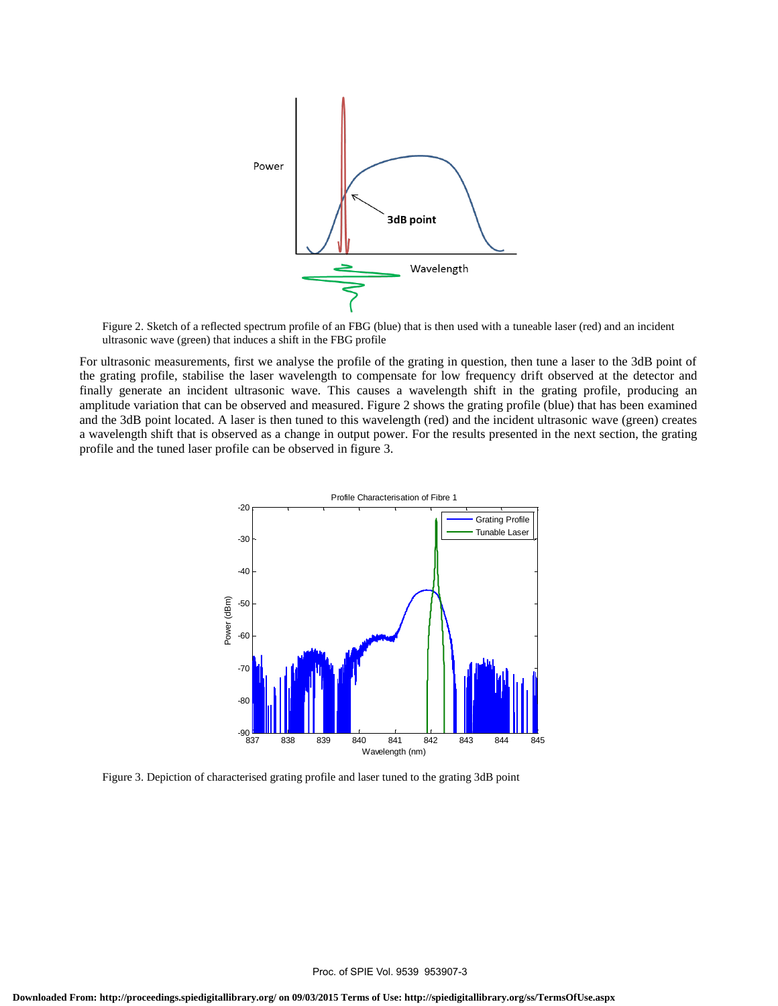

Figure 2. Sketch of a reflected spectrum profile of an FBG (blue) that is then used with a tuneable laser (red) and an incident ultrasonic wave (green) that induces a shift in the FBG profile

For ultrasonic measurements, first we analyse the profile of the grating in question, then tune a laser to the 3dB point of the grating profile, stabilise the laser wavelength to compensate for low frequency drift observed at the detector and finally generate an incident ultrasonic wave. This causes a wavelength shift in the grating profile, producing an amplitude variation that can be observed and measured. Figure 2 shows the grating profile (blue) that has been examined and the 3dB point located. A laser is then tuned to this wavelength (red) and the incident ultrasonic wave (green) creates a wavelength shift that is observed as a change in output power. For the results presented in the next section, the grating profile and the tuned laser profile can be observed in figure 3.



Figure 3. Depiction of characterised grating profile and laser tuned to the grating 3dB point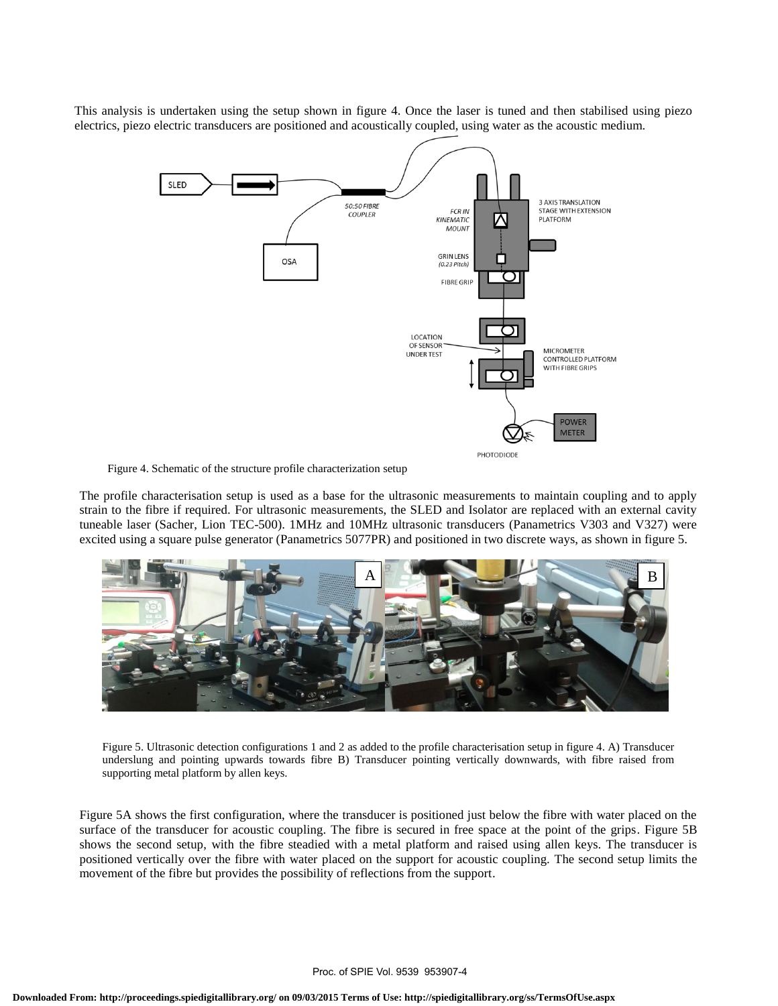This analysis is undertaken using the setup shown in figure 4. Once the laser is tuned and then stabilised using piezo electrics, piezo electric transducers are positioned and acoustically coupled, using water as the acoustic medium.



Figure 4. Schematic of the structure profile characterization setup

The profile characterisation setup is used as a base for the ultrasonic measurements to maintain coupling and to apply strain to the fibre if required. For ultrasonic measurements, the SLED and Isolator are replaced with an external cavity tuneable laser (Sacher, Lion TEC-500). 1MHz and 10MHz ultrasonic transducers (Panametrics V303 and V327) were excited using a square pulse generator (Panametrics 5077PR) and positioned in two discrete ways, as shown in figure 5.



Figure 5. Ultrasonic detection configurations 1 and 2 as added to the profile characterisation setup in figure 4. A) Transducer underslung and pointing upwards towards fibre B) Transducer pointing vertically downwards, with fibre raised from supporting metal platform by allen keys.

Figure 5A shows the first configuration, where the transducer is positioned just below the fibre with water placed on the surface of the transducer for acoustic coupling. The fibre is secured in free space at the point of the grips. Figure 5B shows the second setup, with the fibre steadied with a metal platform and raised using allen keys. The transducer is positioned vertically over the fibre with water placed on the support for acoustic coupling. The second setup limits the movement of the fibre but provides the possibility of reflections from the support.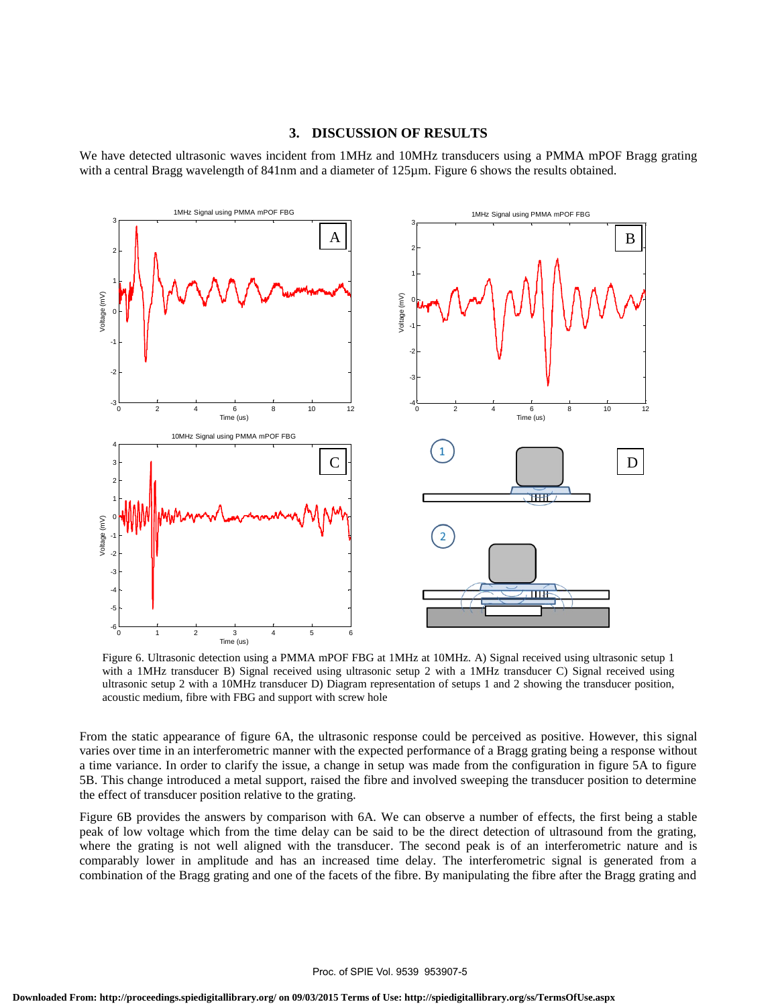#### **3. DISCUSSION OF RESULTS**

We have detected ultrasonic waves incident from 1MHz and 10MHz transducers using a PMMA mPOF Bragg grating with a central Bragg wavelength of 841nm and a diameter of 125um. Figure 6 shows the results obtained.



Figure 6. Ultrasonic detection using a PMMA mPOF FBG at 1MHz at 10MHz. A) Signal received using ultrasonic setup 1 with a 1MHz transducer B) Signal received using ultrasonic setup 2 with a 1MHz transducer C) Signal received using ultrasonic setup 2 with a 10MHz transducer D) Diagram representation of setups 1 and 2 showing the transducer position, acoustic medium, fibre with FBG and support with screw hole

From the static appearance of figure 6A, the ultrasonic response could be perceived as positive. However, this signal varies over time in an interferometric manner with the expected performance of a Bragg grating being a response without a time variance. In order to clarify the issue, a change in setup was made from the configuration in figure 5A to figure 5B. This change introduced a metal support, raised the fibre and involved sweeping the transducer position to determine the effect of transducer position relative to the grating.

Figure 6B provides the answers by comparison with 6A. We can observe a number of effects, the first being a stable peak of low voltage which from the time delay can be said to be the direct detection of ultrasound from the grating, where the grating is not well aligned with the transducer. The second peak is of an interferometric nature and is comparably lower in amplitude and has an increased time delay. The interferometric signal is generated from a combination of the Bragg grating and one of the facets of the fibre. By manipulating the fibre after the Bragg grating and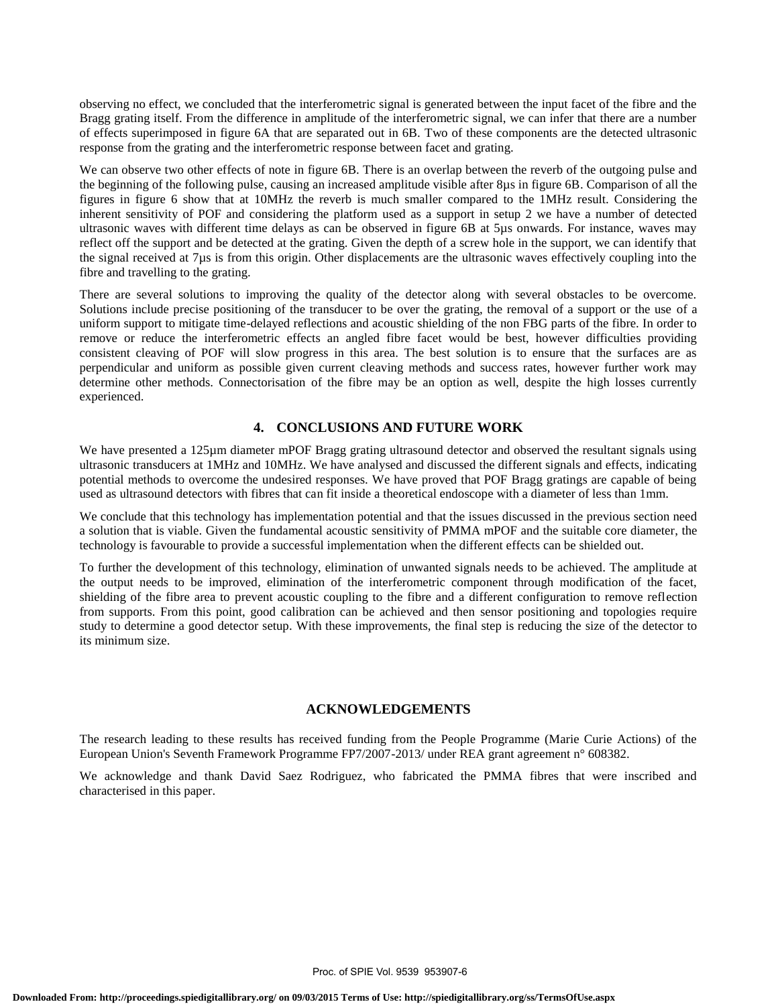observing no effect, we concluded that the interferometric signal is generated between the input facet of the fibre and the Bragg grating itself. From the difference in amplitude of the interferometric signal, we can infer that there are a number of effects superimposed in figure 6A that are separated out in 6B. Two of these components are the detected ultrasonic response from the grating and the interferometric response between facet and grating.

We can observe two other effects of note in figure 6B. There is an overlap between the reverb of the outgoing pulse and the beginning of the following pulse, causing an increased amplitude visible after 8µs in figure 6B. Comparison of all the figures in figure 6 show that at 10MHz the reverb is much smaller compared to the 1MHz result. Considering the inherent sensitivity of POF and considering the platform used as a support in setup 2 we have a number of detected ultrasonic waves with different time delays as can be observed in figure 6B at 5µs onwards. For instance, waves may reflect off the support and be detected at the grating. Given the depth of a screw hole in the support, we can identify that the signal received at 7µs is from this origin. Other displacements are the ultrasonic waves effectively coupling into the fibre and travelling to the grating.

There are several solutions to improving the quality of the detector along with several obstacles to be overcome. Solutions include precise positioning of the transducer to be over the grating, the removal of a support or the use of a uniform support to mitigate time-delayed reflections and acoustic shielding of the non FBG parts of the fibre. In order to remove or reduce the interferometric effects an angled fibre facet would be best, however difficulties providing consistent cleaving of POF will slow progress in this area. The best solution is to ensure that the surfaces are as perpendicular and uniform as possible given current cleaving methods and success rates, however further work may determine other methods. Connectorisation of the fibre may be an option as well, despite the high losses currently experienced.

# **4. CONCLUSIONS AND FUTURE WORK**

We have presented a 125µm diameter mPOF Bragg grating ultrasound detector and observed the resultant signals using ultrasonic transducers at 1MHz and 10MHz. We have analysed and discussed the different signals and effects, indicating potential methods to overcome the undesired responses. We have proved that POF Bragg gratings are capable of being used as ultrasound detectors with fibres that can fit inside a theoretical endoscope with a diameter of less than 1mm.

We conclude that this technology has implementation potential and that the issues discussed in the previous section need a solution that is viable. Given the fundamental acoustic sensitivity of PMMA mPOF and the suitable core diameter, the technology is favourable to provide a successful implementation when the different effects can be shielded out.

To further the development of this technology, elimination of unwanted signals needs to be achieved. The amplitude at the output needs to be improved, elimination of the interferometric component through modification of the facet, shielding of the fibre area to prevent acoustic coupling to the fibre and a different configuration to remove reflection from supports. From this point, good calibration can be achieved and then sensor positioning and topologies require study to determine a good detector setup. With these improvements, the final step is reducing the size of the detector to its minimum size.

## **ACKNOWLEDGEMENTS**

The research leading to these results has received funding from the People Programme (Marie Curie Actions) of the European Union's Seventh Framework Programme FP7/2007-2013/ under REA grant agreement n° 608382.

We acknowledge and thank David Saez Rodriguez, who fabricated the PMMA fibres that were inscribed and characterised in this paper.